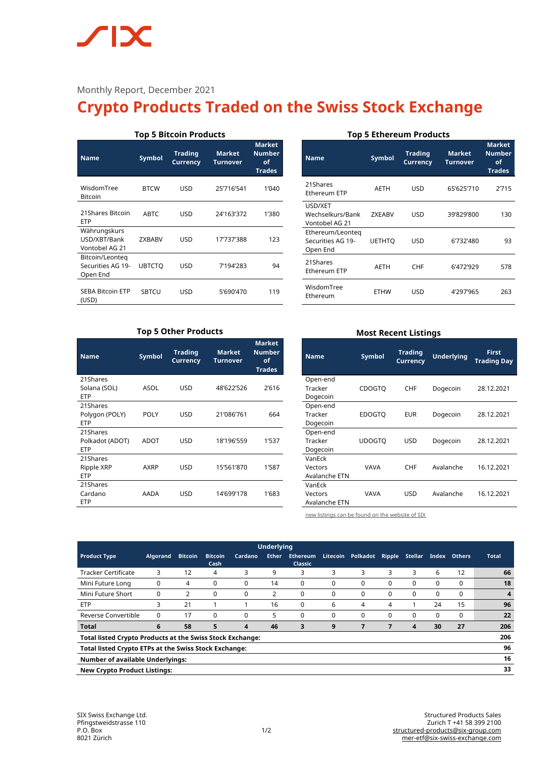# **SIX**

## Monthly Report, December 2021

# **Crypto Products Traded on the Swiss Stock Exchange**

| <b>Top 5 Bitcoin Products</b>                    |                                                       |            |            |       |  |  |  |
|--------------------------------------------------|-------------------------------------------------------|------------|------------|-------|--|--|--|
| <b>Name</b>                                      | <b>Market</b><br><b>Number</b><br>of<br><b>Trades</b> |            |            |       |  |  |  |
| WisdomTree<br><b>Bitcoin</b>                     | <b>BTCW</b>                                           | USD        | 25'716'541 | 1'040 |  |  |  |
| 21 Shares Bitcoin<br><b>ETP</b>                  | <b>ABTC</b>                                           | USD        | 24'163'372 | 1'380 |  |  |  |
| Währungskurs<br>USD/XBT/Bank<br>Vontobel AG 21   | <b>ZXBABV</b>                                         | <b>USD</b> | 17'737'388 | 123   |  |  |  |
| Bitcoin/Leonteg<br>Securities AG 19-<br>Open End | UBTCTO                                                | <b>USD</b> | 7'194'283  | 94    |  |  |  |
| <b>SEBA Bitcoin ETP</b><br>(USD)                 | <b>SBTCU</b>                                          | USD        | 5'690'470  | 119   |  |  |  |

#### **Top 5 Ethereum Products**

| <b>Name</b>                                       | Symbol        | <b>Trading</b><br><b>Currency</b> | <b>Market</b><br>Turnover | <b>Market</b><br><b>Number</b><br>of<br><b>Trades</b> |
|---------------------------------------------------|---------------|-----------------------------------|---------------------------|-------------------------------------------------------|
| 21Shares<br>Ethereum ETP                          | AETH          | USD                               | 65'625'710                | 2'715                                                 |
| USD/XET<br>Wechselkurs/Bank<br>Vontobel AG 21     | <b>ZXEABV</b> | USD                               | 39'829'800                | 130                                                   |
| Ethereum/Leonteg<br>Securities AG 19-<br>Open End | <b>UETHTO</b> | USD                               | 6'732'480                 | 93                                                    |
| 21Shares<br>Ethereum ETP                          | AETH          | CHF                               | 6'472'929                 | 578                                                   |
| WisdomTree<br>Ethereum                            | ETHW          | USD                               | 4'297'965                 | 263                                                   |

#### **Top 5 Other Products**

| <b>Name</b>                               | <b>Symbol</b> | <b>Trading</b><br><b>Currency</b> | <b>Market</b><br><b>Turnover</b> | <b>Market</b><br><b>Number</b><br>οf<br><b>Trades</b> |
|-------------------------------------------|---------------|-----------------------------------|----------------------------------|-------------------------------------------------------|
| 21Shares<br>Solana (SOL)<br><b>ETP</b>    | ASOL          | <b>USD</b>                        | 48'622'526                       | 2'616                                                 |
| 21Shares<br>Polygon (POLY)<br><b>ETP</b>  | <b>POLY</b>   | <b>USD</b>                        | 21'086'761                       | 664                                                   |
| 21Shares<br>Polkadot (ADOT)<br><b>ETP</b> | ADOT          | USD                               | 18'196'559                       | 1'537                                                 |
| 21Shares<br>Ripple XRP<br><b>ETP</b>      | AXRP          | USD                               | 15'561'870                       | 1'587                                                 |
| 21Shares<br>Cardano<br><b>ETP</b>         | AADA          | <b>USD</b>                        | 14'699'178                       | 1'683                                                 |

### **Most Recent Listings**

| <b>Name</b>   | Symbol        | <b>Trading</b><br><b>Currency</b> | <b>Underlying</b> | <b>First</b><br><b>Trading Day</b> |  |
|---------------|---------------|-----------------------------------|-------------------|------------------------------------|--|
| Open-end      |               |                                   |                   |                                    |  |
| Tracker       | <b>CDOGTO</b> | <b>CHF</b>                        | Dogecoin          | 28.12.2021                         |  |
| Dogecoin      |               |                                   |                   |                                    |  |
| Open-end      |               |                                   |                   |                                    |  |
| Tracker       | <b>EDOGTO</b> | <b>EUR</b>                        | Dogecoin          | 28.12.2021                         |  |
| Dogecoin      |               |                                   |                   |                                    |  |
| Open-end      |               |                                   |                   |                                    |  |
| Tracker       | UDOGTO        | USD                               | Dogecoin          | 28.12.2021                         |  |
| Dogecoin      |               |                                   |                   |                                    |  |
| VanFck        |               |                                   |                   |                                    |  |
| Vectors       | <b>VAVA</b>   | <b>CHF</b>                        | Avalanche         | 16.12.2021                         |  |
| Avalanche ETN |               |                                   |                   |                                    |  |
| VanFck        |               |                                   |                   |                                    |  |
| Vectors       | <b>VAVA</b>   | USD                               | Avalanche         | 16.12.2021                         |  |
| Avalanche ETN |               |                                   |                   |                                    |  |

[new listings can be found on the website of SIX](https://www.six-structured-products.com/de/suche/Krypto%20Produkte)

| <b>Underlying</b>                                                       |                 |                |                        |          |              |                                   |          |          |               |          |          |               |              |
|-------------------------------------------------------------------------|-----------------|----------------|------------------------|----------|--------------|-----------------------------------|----------|----------|---------------|----------|----------|---------------|--------------|
| <b>Product Type</b>                                                     | <b>Algorand</b> | <b>Bitcoin</b> | <b>Bitcoin</b><br>Cash | Cardano  | <b>Ether</b> | <b>Ethereum</b><br><b>Classic</b> | Litecoin | Polkadot | <b>Ripple</b> | Stellar  | Index    | <b>Others</b> | <b>Total</b> |
| <b>Tracker Certificate</b>                                              | 3               | 12             | 4                      | 3        | 9            | 3                                 | 3        | 3        | 3             | 3        | 6        | 12            | 66           |
| Mini Future Long                                                        | $\Omega$        | 4              | $\Omega$               | $\Omega$ | 14           | 0                                 | $\Omega$ | 0        | $\Omega$      | $\Omega$ | $\Omega$ | $\Omega$      | 18           |
| Mini Future Short                                                       | 0               | 2              | $\Omega$               | 0        | 2            | 0                                 | 0        | 0        | 0             | 0        | 0        | $\Omega$      | 4            |
| <b>ETP</b>                                                              | 3               | 21             |                        |          | 16           | 0                                 | 6        | 4        | 4             |          | 24       | 15            | 96           |
| Reverse Convertible                                                     | 0               | 17             | $\Omega$               | $\Omega$ | 5            | $\Omega$                          | $\Omega$ | 0        | $\Omega$      | $\Omega$ | $\Omega$ | $\Omega$      | 22           |
| <b>Total</b>                                                            | 6               | 58             | 5                      | 4        | 46           | 3                                 | 9        |          |               | 4        | 30       | 27            | 206          |
| 206<br><b>Total listed Crypto Products at the Swiss Stock Exchange:</b> |                 |                |                        |          |              |                                   |          |          |               |          |          |               |              |
| 96<br>Total listed Crypto ETPs at the Swiss Stock Exchange:             |                 |                |                        |          |              |                                   |          |          |               |          |          |               |              |
| 16<br><b>Number of available Underlyings:</b>                           |                 |                |                        |          |              |                                   |          |          |               |          |          |               |              |
| 33<br><b>New Crypto Product Listings:</b>                               |                 |                |                        |          |              |                                   |          |          |               |          |          |               |              |